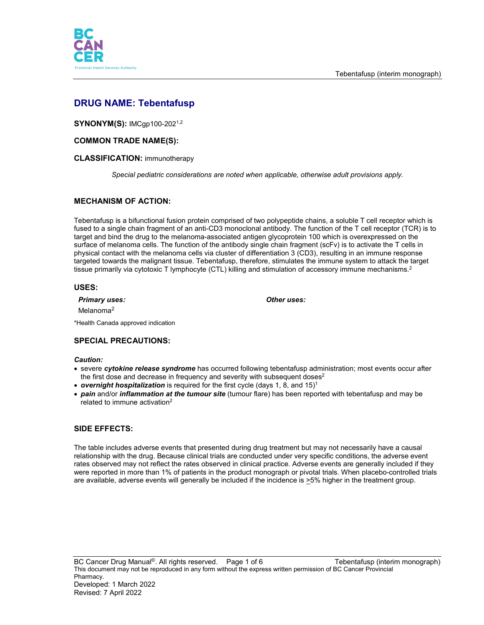



# **DRUG NAME: Tebentafusp**

**SYNONYM(S):** IMCgp100-202<sup>1,2</sup>

## **COMMON TRADE NAME(S):**

#### **CLASSIFICATION:** immunotherapy

*Special pediatric considerations are noted when applicable, otherwise adult provisions apply.*

## **MECHANISM OF ACTION:**

Tebentafusp is a bifunctional fusion protein comprised of two polypeptide chains, a soluble T cell receptor which is fused to a single chain fragment of an anti-CD3 monoclonal antibody. The function of the T cell receptor (TCR) is to target and bind the drug to the melanoma-associated antigen glycoprotein 100 which is overexpressed on the surface of melanoma cells. The function of the antibody single chain fragment (scFv) is to activate the T cells in physical contact with the melanoma cells via cluster of differentiation 3 (CD3), resulting in an immune response targeted towards the malignant tissue. Tebentafusp, therefore, stimulates the immune system to attack the target tissue primarily via cytotoxic T lymphocyte (CTL) killing and stimulation of accessory immune mechanisms.<sup>2</sup>

#### **USES:**

*Primary uses: Other uses:*

Melanoma<sup>2</sup>

\*Health Canada approved indication

## **SPECIAL PRECAUTIONS:**

#### *Caution:*

- severe *cytokine release syndrome* has occurred following tebentafusp administration; most events occur after the first dose and decrease in frequency and severity with subsequent doses<sup>2</sup>
- *overnight hospitalization* is required for the first cycle (days 1, 8, and 15)<sup>1</sup>
- *pain* and/or *inflammation at the tumour site* (tumour flare) has been reported with tebentafusp and may be related to immune activation<sup>2</sup>

## **SIDE EFFECTS:**

The table includes adverse events that presented during drug treatment but may not necessarily have a causal relationship with the drug. Because clinical trials are conducted under very specific conditions, the adverse event rates observed may not reflect the rates observed in clinical practice. Adverse events are generally included if they were reported in more than 1% of patients in the product monograph or pivotal trials. When placebo-controlled trials are available, adverse events will generally be included if the incidence is >5% higher in the treatment group.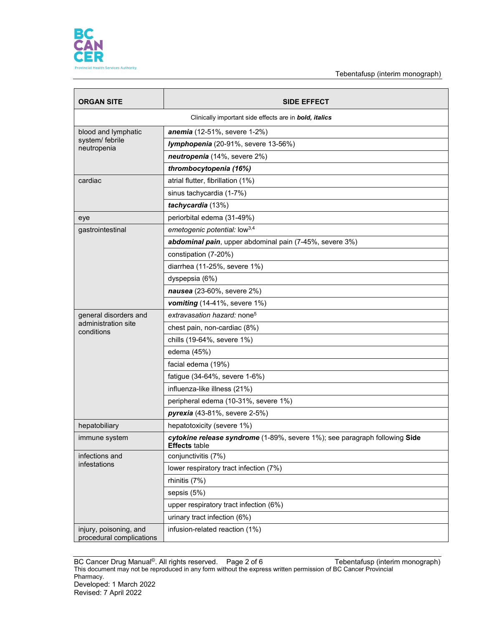

Tebentafusp (interim monograph)

| <b>ORGAN SITE</b>                                             | <b>SIDE EFFECT</b>                                                                                 |  |
|---------------------------------------------------------------|----------------------------------------------------------------------------------------------------|--|
| Clinically important side effects are in <b>bold, italics</b> |                                                                                                    |  |
| blood and lymphatic<br>system/ febrile<br>neutropenia         | anemia (12-51%, severe 1-2%)                                                                       |  |
|                                                               | Iymphopenia (20-91%, severe 13-56%)                                                                |  |
|                                                               | neutropenia (14%, severe 2%)                                                                       |  |
|                                                               | thrombocytopenia (16%)                                                                             |  |
| cardiac                                                       | atrial flutter, fibrillation (1%)                                                                  |  |
|                                                               | sinus tachycardia (1-7%)                                                                           |  |
|                                                               | tachycardia (13%)                                                                                  |  |
| eye                                                           | periorbital edema (31-49%)                                                                         |  |
| gastrointestinal                                              | emetogenic potential: low <sup>3,4</sup>                                                           |  |
|                                                               | abdominal pain, upper abdominal pain (7-45%, severe 3%)                                            |  |
|                                                               | constipation (7-20%)                                                                               |  |
|                                                               | diarrhea (11-25%, severe 1%)                                                                       |  |
|                                                               | dyspepsia (6%)                                                                                     |  |
|                                                               | nausea (23-60%, severe 2%)                                                                         |  |
|                                                               | vomiting (14-41%, severe 1%)                                                                       |  |
| general disorders and                                         | extravasation hazard: none <sup>5</sup>                                                            |  |
| administration site<br>conditions                             | chest pain, non-cardiac (8%)                                                                       |  |
|                                                               | chills (19-64%, severe 1%)                                                                         |  |
|                                                               | edema (45%)                                                                                        |  |
|                                                               | facial edema (19%)                                                                                 |  |
|                                                               | fatigue (34-64%, severe 1-6%)                                                                      |  |
|                                                               | influenza-like illness (21%)                                                                       |  |
|                                                               | peripheral edema (10-31%, severe 1%)                                                               |  |
|                                                               | pyrexia (43-81%, severe 2-5%)                                                                      |  |
| hepatobiliary                                                 | hepatotoxicity (severe 1%)                                                                         |  |
| immune system                                                 | cytokine release syndrome (1-89%, severe 1%); see paragraph following Side<br><b>Effects table</b> |  |
| infections and<br>infestations                                | conjunctivitis (7%)                                                                                |  |
|                                                               | lower respiratory tract infection (7%)                                                             |  |
|                                                               | rhinitis (7%)                                                                                      |  |
|                                                               | sepsis (5%)                                                                                        |  |
|                                                               | upper respiratory tract infection (6%)                                                             |  |
|                                                               | urinary tract infection (6%)                                                                       |  |
| injury, poisoning, and<br>procedural complications            | infusion-related reaction (1%)                                                                     |  |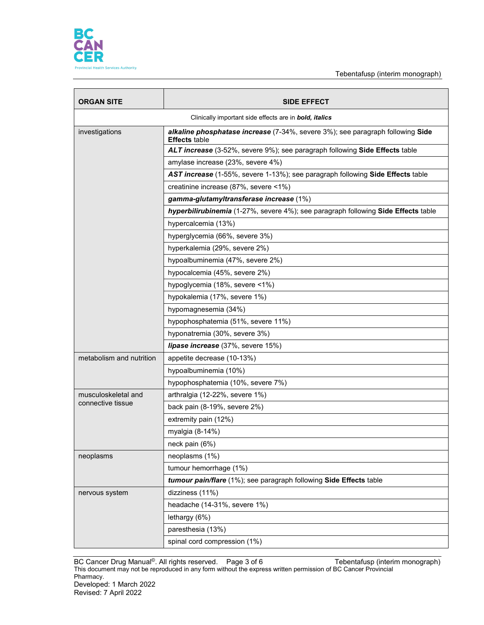

| <b>ORGAN SITE</b>                                             | <b>SIDE EFFECT</b>                                                                                     |  |
|---------------------------------------------------------------|--------------------------------------------------------------------------------------------------------|--|
| Clinically important side effects are in <b>bold, italics</b> |                                                                                                        |  |
| investigations                                                | alkaline phosphatase increase (7-34%, severe 3%); see paragraph following Side<br><b>Effects</b> table |  |
|                                                               | ALT increase (3-52%, severe 9%); see paragraph following Side Effects table                            |  |
|                                                               | amylase increase (23%, severe 4%)                                                                      |  |
|                                                               | AST increase (1-55%, severe 1-13%); see paragraph following Side Effects table                         |  |
|                                                               | creatinine increase (87%, severe <1%)                                                                  |  |
|                                                               | gamma-glutamyltransferase increase (1%)                                                                |  |
|                                                               | hyperbilirubinemia (1-27%, severe 4%); see paragraph following Side Effects table                      |  |
|                                                               | hypercalcemia (13%)                                                                                    |  |
|                                                               | hyperglycemia (66%, severe 3%)                                                                         |  |
|                                                               | hyperkalemia (29%, severe 2%)                                                                          |  |
|                                                               | hypoalbuminemia (47%, severe 2%)                                                                       |  |
|                                                               | hypocalcemia (45%, severe 2%)                                                                          |  |
|                                                               | hypoglycemia (18%, severe <1%)                                                                         |  |
|                                                               | hypokalemia (17%, severe 1%)                                                                           |  |
|                                                               | hypomagnesemia (34%)                                                                                   |  |
|                                                               | hypophosphatemia (51%, severe 11%)                                                                     |  |
|                                                               | hyponatremia (30%, severe 3%)                                                                          |  |
|                                                               | lipase increase (37%, severe 15%)                                                                      |  |
| metabolism and nutrition                                      | appetite decrease (10-13%)                                                                             |  |
|                                                               | hypoalbuminemia (10%)                                                                                  |  |
|                                                               | hypophosphatemia (10%, severe 7%)                                                                      |  |
| musculoskeletal and<br>connective tissue                      | arthralgia (12-22%, severe 1%)                                                                         |  |
|                                                               | back pain (8-19%, severe 2%)                                                                           |  |
|                                                               | extremity pain (12%)                                                                                   |  |
|                                                               | myalgia (8-14%)                                                                                        |  |
|                                                               | neck pain (6%)                                                                                         |  |
| neoplasms                                                     | neoplasms (1%)                                                                                         |  |
|                                                               | tumour hemorrhage (1%)                                                                                 |  |
|                                                               | tumour pain/flare (1%); see paragraph following Side Effects table                                     |  |
| nervous system                                                | dizziness (11%)                                                                                        |  |
|                                                               | headache (14-31%, severe 1%)                                                                           |  |
|                                                               | lethargy (6%)                                                                                          |  |
|                                                               | paresthesia (13%)                                                                                      |  |
|                                                               | spinal cord compression (1%)                                                                           |  |

BC Cancer Drug Manual<sup>©</sup>. All rights reserved. Page 3 of 6 Tebentafusp (interim monograph) This document may not be reproduced in any form without the express written permission of BC Cancer Provincial Pharmacy. Developed: 1 March 2022 Revised: 7 April 2022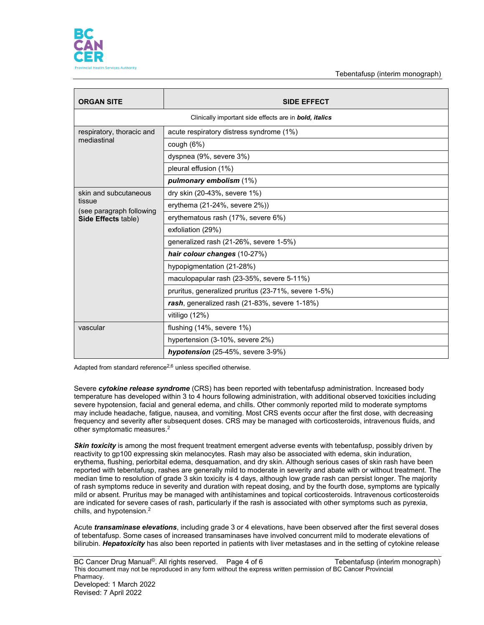

Tebentafusp (interim monograph)

| <b>ORGAN SITE</b>                                                                  | <b>SIDE EFFECT</b>                                   |  |  |
|------------------------------------------------------------------------------------|------------------------------------------------------|--|--|
| Clinically important side effects are in bold, italics                             |                                                      |  |  |
| respiratory, thoracic and<br>mediastinal                                           | acute respiratory distress syndrome (1%)             |  |  |
|                                                                                    | cough $(6%)$                                         |  |  |
|                                                                                    | dyspnea (9%, severe 3%)                              |  |  |
|                                                                                    | pleural effusion (1%)                                |  |  |
|                                                                                    | pulmonary embolism (1%)                              |  |  |
| skin and subcutaneous<br>tissue<br>(see paragraph following<br>Side Effects table) | dry skin (20-43%, severe 1%)                         |  |  |
|                                                                                    | erythema (21-24%, severe 2%))                        |  |  |
|                                                                                    | erythematous rash (17%, severe 6%)                   |  |  |
|                                                                                    | exfoliation (29%)                                    |  |  |
|                                                                                    | generalized rash (21-26%, severe 1-5%)               |  |  |
|                                                                                    | hair colour changes (10-27%)                         |  |  |
|                                                                                    | hypopigmentation (21-28%)                            |  |  |
|                                                                                    | maculopapular rash (23-35%, severe 5-11%)            |  |  |
|                                                                                    | pruritus, generalized pruritus (23-71%, severe 1-5%) |  |  |
|                                                                                    | rash, generalized rash (21-83%, severe 1-18%)        |  |  |
|                                                                                    | vitiligo (12%)                                       |  |  |
| vascular                                                                           | flushing (14%, severe 1%)                            |  |  |
|                                                                                    | hypertension (3-10%, severe 2%)                      |  |  |
|                                                                                    | hypotension (25-45%, severe 3-9%)                    |  |  |

Adapted from standard reference<sup>2,6</sup> unless specified otherwise.

Severe *cytokine release syndrome* (CRS) has been reported with tebentafusp administration. Increased body temperature has developed within 3 to 4 hours following administration, with additional observed toxicities including severe hypotension, facial and general edema, and chills. Other commonly reported mild to moderate symptoms may include headache, fatigue, nausea, and vomiting. Most CRS events occur after the first dose, with decreasing frequency and severity after subsequent doses. CRS may be managed with corticosteroids, intravenous fluids, and other symptomatic measures.2

**Skin toxicity** is among the most frequent treatment emergent adverse events with tebentafusp, possibly driven by reactivity to gp100 expressing skin melanocytes. Rash may also be associated with edema, skin induration, erythema, flushing, periorbital edema, desquamation, and dry skin. Although serious cases of skin rash have been reported with tebentafusp, rashes are generally mild to moderate in severity and abate with or without treatment. The median time to resolution of grade 3 skin toxicity is 4 days, although low grade rash can persist longer. The majority of rash symptoms reduce in severity and duration with repeat dosing, and by the fourth dose, symptoms are typically mild or absent. Pruritus may be managed with antihistamines and topical corticosteroids. Intravenous corticosteroids are indicated for severe cases of rash, particularly if the rash is associated with other symptoms such as pyrexia, chills, and hypotension.2

Acute *transaminase elevations*, including grade 3 or 4 elevations, have been observed after the first several doses of tebentafusp. Some cases of increased transaminases have involved concurrent mild to moderate elevations of bilirubin. *Hepatoxicity* has also been reported in patients with liver metastases and in the setting of cytokine release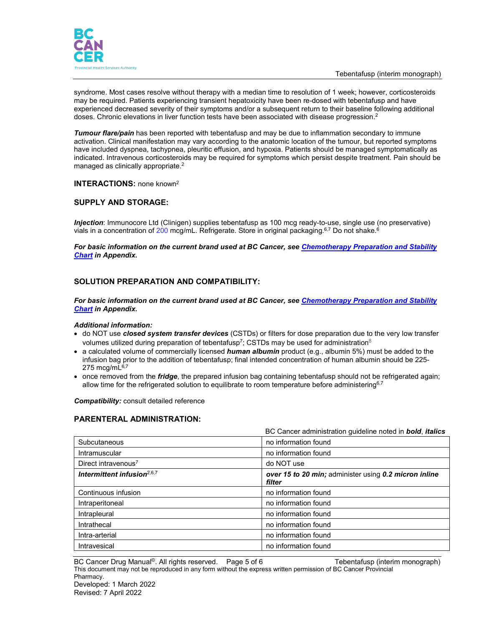

syndrome. Most cases resolve without therapy with a median time to resolution of 1 week; however, corticosteroids may be required. Patients experiencing transient hepatoxicity have been re-dosed with tebentafusp and have experienced decreased severity of their symptoms and/or a subsequent return to their baseline following additional doses. Chronic elevations in liver function tests have been associated with disease progression.<sup>2</sup>

*Tumour flare/pain* has been reported with tebentafusp and may be due to inflammation secondary to immune activation. Clinical manifestation may vary according to the anatomic location of the tumour, but reported symptoms have included dyspnea, tachypnea, pleuritic effusion, and hypoxia. Patients should be managed symptomatically as indicated. Intravenous corticosteroids may be required for symptoms which persist despite treatment. Pain should be managed as clinically appropriate.<sup>2</sup>

#### **INTERACTIONS:** none known2

## **SUPPLY AND STORAGE:**

*Injection*: Immunocore Ltd (Clinigen) supplies tebentafusp as 100 mcg ready-to-use, single use (no preservative) vials in a concentration of 200 mcg/mL. Refrigerate. Store in original packaging.<sup>6,7</sup> Do not shake.<sup>6</sup>

*For basic information on the current brand used at BC Cancer, see [Chemotherapy Preparation and Stability](http://www.bccancer.bc.ca/HPI/DrugDatabase/Appendices/default.htm#chemochart)  [Chart](http://www.bccancer.bc.ca/HPI/DrugDatabase/Appendices/default.htm#chemochart) in Appendix.*

#### **SOLUTION PREPARATION AND COMPATIBILITY:**

*For basic information on the current brand used at BC Cancer, see [Chemotherapy Preparation and Stability](http://www.bccancer.bc.ca/HPI/DrugDatabase/Appendices/default.htm#chemochart)  [Chart](http://www.bccancer.bc.ca/HPI/DrugDatabase/Appendices/default.htm#chemochart) in Appendix.*

#### *Additional information:*

- do NOT use *closed system transfer devices* (CSTDs) or filters for dose preparation due to the very low transfer volumes utilized during preparation of tebentafusp<sup>7</sup>; CSTDs may be used for administration<sup>8</sup>
- a calculated volume of commercially licensed *human albumin* product (e.g., albumin 5%) must be added to the infusion bag prior to the addition of tebentafusp; final intended concentration of human albumin should be 225- 275 mcg/m $L^{6,7}$
- once removed from the *fridge*, the prepared infusion bag containing tebentafusp should not be refrigerated again; allow time for the refrigerated solution to equilibrate to room temperature before administering $67$

*Compatibility:* consult detailed reference

#### **PARENTERAL ADMINISTRATION:**

|                                        | BC Cancer administration quideline noted in <b>bold</b> , <i>italics</i> |
|----------------------------------------|--------------------------------------------------------------------------|
| Subcutaneous                           | no information found                                                     |
| Intramuscular                          | no information found                                                     |
| Direct intravenous <sup>7</sup>        | do NOT use                                                               |
| Intermittent infusion <sup>2,6,7</sup> | over 15 to 20 min; administer using 0.2 micron inline<br>filter          |
| Continuous infusion                    | no information found                                                     |
| Intraperitoneal                        | no information found                                                     |
| Intrapleural                           | no information found                                                     |
| Intrathecal                            | no information found                                                     |
| Intra-arterial                         | no information found                                                     |
| Intravesical                           | no information found                                                     |

BC Cancer Drug Manual<sup>©</sup>. All rights reserved. Page 5 of 6 Tebentafusp (interim monograph) This document may not be reproduced in any form without the express written permission of BC Cancer Provincial Pharmacy. Developed: 1 March 2022